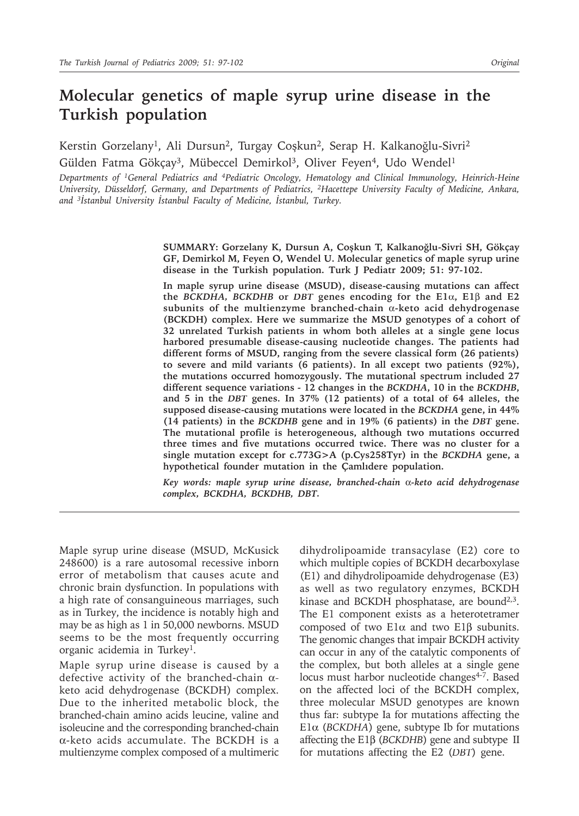# **Molecular genetics of maple syrup urine disease in the Turkish population**

Kerstin Gorzelany<sup>1</sup>, Ali Dursun<sup>2</sup>, Turgay Coşkun<sup>2</sup>, Serap H. Kalkanoğlu-Sivri<sup>2</sup> Gülden Fatma Gökçay<sup>3</sup>, Mübeccel Demirkol<sup>3</sup>, Oliver Feyen<sup>4</sup>, Udo Wendel<sup>1</sup>

*Departments of 1General Pediatrics and 4Pediatric Oncology, Hematology and Clinical Immunology, Heinrich-Heine University, Düsseldorf, Germany, and Departments of Pediatrics, 2Hacettepe University Faculty of Medicine, Ankara, and 3İstanbul University İstanbul Faculty of Medicine, İstanbul, Turkey.*

> **SUMMARY: Gorzelany K, Dursun A, Coşkun T, Kalkanoğlu-Sivri SH, Gökçay GF, Demirkol M, Feyen O, Wendel U. Molecular genetics of maple syrup urine disease in the Turkish population. Turk J Pediatr 2009; 51: 97-102.**

> **In maple syrup urine disease (MSUD), disease-causing mutations can affect the** *BCKDHA, BCKDHB* **or** *DBT* **genes encoding for the E1 genes encoding for the** α**, E1**β **and E2 subunits of the multienzyme branched-chain** α**-keto acid dehydrogenase (BCKDH) complex. Here we summarize the MSUD genotypes of a cohort of 32 unrelated Turkish patients in whom both alleles at a single gene locus harbored presumable disease-causing nucleotide changes. The patients had different forms of MSUD, ranging from the severe classical form (26 patients) to severe and mild variants (6 patients). In all except two patients (92%), the mutations occurred homozygously. The mutational spectrum included 27 different sequence variations - 12 changes in the** *BCKDHA***, 10 in the** *BCKDHB***, and 5 in the** *DBT* **genes. In 37% (12 patients) of a total of 64 alleles, the genes. In 37% (12 patients) of a total of 64 alleles, supposed disease-causing mutations were located in the** *BCKDHA* **gene, in 44% (14 patients) in the** *BCKDHB* **gene and in 19% (6 patients) in the** *DBT* **gene. The mutational profile is heterogeneous, although two mutations occurred three times and five mutations occurred twice. There was no cluster for a single mutation except for c.773G>A (p.Cys258Tyr) in the** *BCKDHA* **gene, a hypothetical founder mutation in the Çamlıdere population.**

> *Key words: maple syrup urine disease, branched-chain* α*-keto acid dehydrogenase complex, BCKDHA, BCKDHB, DBT.*

Maple syrup urine disease (MSUD, McKusick 248600) is a rare autosomal recessive inborn error of metabolism that causes acute and chronic brain dysfunction. In populations with a high rate of consanguineous marriages, such as in Turkey, the incidence is notably high and may be as high as 1 in 50,000 newborns. MSUD seems to be the most frequently occurring organic acidemia in Turkey1.

Maple syrup urine disease is caused by a defective activity of the branched-chain αketo acid dehydrogenase (BCKDH) complex. Due to the inherited metabolic block, the branched-chain amino acids leucine, valine and isoleucine and the corresponding branched-chain α-keto acids accumulate. The BCKDH is a multienzyme complex composed of a multimeric

dihydrolipoamide transacylase (E2) core to which multiple copies of BCKDH decarboxylase (E1) and dihydrolipoamide dehydrogenase (E3) as well as two regulatory enzymes, BCKDH kinase and BCKDH phosphatase, are bound<sup>2,3</sup>. The E1 component exists as a heterotetramer composed of two E1 $α$  and two E1 $β$  subunits. The genomic changes that impair BCKDH activity can occur in any of the catalytic components of the complex, but both alleles at a single gene locus must harbor nucleotide changes<sup>4-7</sup>. Based on the affected loci of the BCKDH complex, three molecular MSUD genotypes are known thus far: subtype Ia for mutations affecting the E1α (*BCKDHA*) gene, subtype Ib for mutations affecting the E1β (*BCKDHB*) gene and subtype II for mutations affecting the E2 (*DBT*) gene.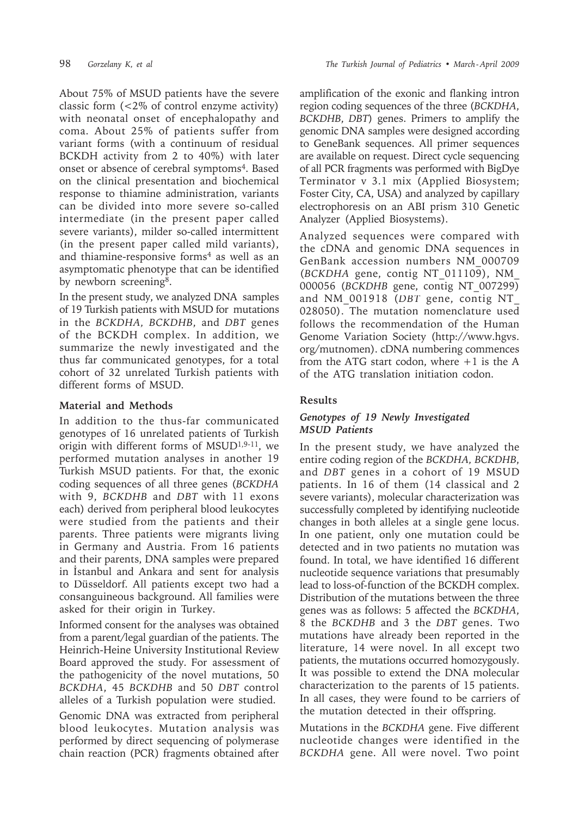About 75% of MSUD patients have the severe classic form (<2% of control enzyme activity) with neonatal onset of encephalopathy and coma. About 25% of patients suffer from variant forms (with a continuum of residual BCKDH activity from 2 to 40%) with later onset or absence of cerebral symptoms<sup>4</sup>. Based on the clinical presentation and biochemical response to thiamine administration, variants can be divided into more severe so-called intermediate (in the present paper called severe variants), milder so-called intermittent (in the present paper called mild variants), and thiamine-responsive forms<sup>4</sup> as well as an asymptomatic phenotype that can be identified by newborn screening<sup>8</sup>.

In the present study, we analyzed DNA samples of 19 Turkish patients with MSUD for mutations in the *BCKDHA, BCKDHB*, and *DBT* genes of the BCKDH complex. In addition, we summarize the newly investigated and the thus far communicated genotypes, for a total cohort of 32 unrelated Turkish patients with different forms of MSUD.

# **Material and Methods**

In addition to the thus-far communicated genotypes of 16 unrelated patients of Turkish origin with different forms of MSUD1,9-11, we performed mutation analyses in another 19 Turkish MSUD patients. For that, the exonic coding sequences of all three genes (*BCKDHA* with 9, *BCKDHB* and *DBT* with 11 exons each) derived from peripheral blood leukocytes were studied from the patients and their parents. Three patients were migrants living in Germany and Austria. From 16 patients and their parents, DNA samples were prepared in İstanbul and Ankara and sent for analysis to Düsseldorf. All patients except two had a consanguineous background. All families were asked for their origin in Turkey.

Informed consent for the analyses was obtained from a parent/legal guardian of the patients. The Heinrich-Heine University Institutional Review Board approved the study. For assessment of the pathogenicity of the novel mutations, 50 *BCKDHA*, 45 *BCKDHB* and 50 *DBT* control alleles of a Turkish population were studied.

Genomic DNA was extracted from peripheral blood leukocytes. Mutation analysis was performed by direct sequencing of polymerase chain reaction (PCR) fragments obtained after amplification of the exonic and flanking intron region coding sequences of the three ( *BCKDHA*, *BCKDHB*, *DBT*) genes. Primers to amplify the genomic DNA samples were designed according to GeneBank sequences. All primer sequences are available on request. Direct cycle sequencing of all PCR fragments was performed with BigDye Terminator v 3.1 mix (Applied Biosystem; Foster City, CA, USA) and analyzed by capillary electrophoresis on an ABI prism 310 Genetic Analyzer (Applied Biosystems).

Analyzed sequences were compared with the cDNA and genomic DNA sequences in GenBank accession numbers NM\_000709 (*BCKDHA* gene, contig NT\_011109), NM\_ 000056 (*BCKDHB* gene, contig NT\_007299) and NM\_001918 (*DBT* gene, contig NT\_ 028050). The mutation nomenclature used follows the recommendation of the Human Genome Variation Society (http://www.hgvs. org/mutnomen). cDNA numbering commences from the ATG start codon, where  $+1$  is the A of the ATG translation initiation codon.

# **Results**

## *Genotypes of 19 Newly Investigated MSUD Patients*

In the present study, we have analyzed the entire coding region of the *BCKDHA, BCKDHB*, and *DBT* genes in a cohort of 19 MSUD patients. In 16 of them (14 classical and 2 severe variants), molecular characterization was successfully completed by identifying nucleotide changes in both alleles at a single gene locus. In one patient, only one mutation could be detected and in two patients no mutation was found. In total, we have identified 16 different nucleotide sequence variations that presumably lead to loss-of-function of the BCKDH complex. Distribution of the mutations between the three genes was as follows: 5 affected the *BCKDHA*, 8 the *BCKDHB* and 3 the *DBT* genes. Two mutations have already been reported in the literature, 14 were novel. In all except two patients, the mutations occurred homozygously. It was possible to extend the DNA molecular characterization to the parents of 15 patients. In all cases, they were found to be carriers of the mutation detected in their offspring.

Mutations in the *BCKDHA* gene. Five different nucleotide changes were identified in the *BCKDHA* gene. All were novel. Two point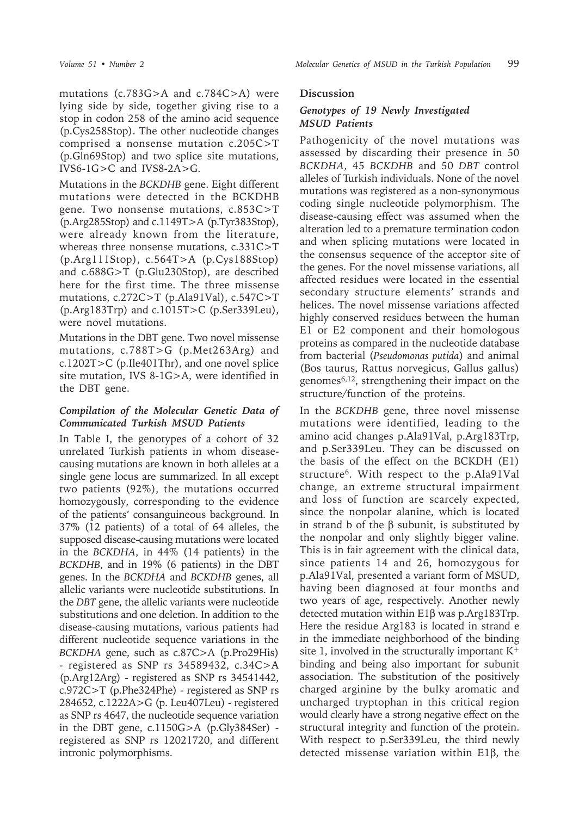mutations (c.783G>A and c.784C>A) were lying side by side, together giving rise to a stop in codon 258 of the amino acid sequence (p.Cys258Stop). The other nucleotide changes comprised a nonsense mutation c.205C>T (p.Gln69Stop) and two splice site mutations, IVS6-1G>C and IVS8-2A>G.

Mutations in the *BCKDHB* gene. Eight different mutations were detected in the BCKDHB gene. Two nonsense mutations, c.853C>T (p.Arg285Stop) and c.1149T>A (p.Tyr383Stop), were already known from the literature, whereas three nonsense mutations, c.331C>T (p.Arg111Stop), c.564T>A (p.Cys188Stop) and c.688G>T (p.Glu230Stop), are described here for the first time. The three missense mutations, c.272C>T (p.Ala91Val), c.547C>T (p.Arg183Trp) and c.1015T>C (p.Ser339Leu), were novel mutations.

Mutations in the DBT gene. Two novel missense mutations, c.788T>G (p.Met263Arg) and c.1202T>C (p.Ile401Thr), and one novel splice site mutation, IVS 8-1G>A, were identified in the DBT gene.

## *Compilation of the Molecular Genetic Data of Communicated Turkish MSUD Patients*

In Table I, the genotypes of a cohort of 32 unrelated Turkish patients in whom diseasecausing mutations are known in both alleles at a single gene locus are summarized. In all except two patients (92%), the mutations occurred homozygously, corresponding to the evidence of the patients' consanguineous background. In 37% (12 patients) of a total of 64 alleles, the supposed disease-causing mutations were located in the *BCKDHA*, in 44% (14 patients) in the *BCKDHB*, and in 19% (6 patients) in the DBT genes. In the *BCKDHA* and *BCKDHB* genes, all allelic variants were nucleotide substitutions. In the *DBT* gene, the allelic variants were nucleotide substitutions and one deletion. In addition to the disease-causing mutations, various patients had different nucleotide sequence variations in the *BCKDHA* gene, such as c.87C>A (p.Pro29His) - registered as SNP rs 34589432, c.34C>A (p.Arg12Arg) - registered as SNP rs 34541442, c.972C>T (p.Phe324Phe) - registered as SNP rs 284652, c.1222A>G (p. Leu407Leu) - registered as SNP rs 4647, the nucleotide sequence variation in the DBT gene, c.1150G>A (p.Gly384Ser) registered as SNP rs 12021720, and different intronic polymorphisms.

### **Discussion**

## *Genotypes of 19 Newly Investigated MSUD Patients*

Pathogenicity of the novel mutations was assessed by discarding their presence in 50 *BCKDHA*, 45 *BCKDHB* and 50 *DBT* control alleles of Turkish individuals. None of the novel mutations was registered as a non-synonymous coding single nucleotide polymorphism. The disease-causing effect was assumed when the alteration led to a premature termination codon and when splicing mutations were located in the consensus sequence of the acceptor site of the genes. For the novel missense variations, all affected residues were located in the essential secondary structure elements' strands and helices. The novel missense variations affected highly conserved residues between the human E1 or E2 component and their homologous proteins as compared in the nucleotide database from bacterial (*Pseudomonas putida*) and animal (Bos taurus, Rattus norvegicus, Gallus gallus) genomes6,12, strengthening their impact on the structure/function of the proteins.

In the *BCKDHB* gene, three novel missense mutations were identified, leading to the amino acid changes p.Ala91Val, p.Arg183Trp, and p.Ser339Leu. They can be discussed on the basis of the effect on the BCKDH (E1) structure6. With respect to the p.Ala91Val change, an extreme structural impairment and loss of function are scarcely expected, since the nonpolar alanine, which is located in strand b of the β subunit, is substituted by the nonpolar and only slightly bigger valine. This is in fair agreement with the clinical data, since patients 14 and 26, homozygous for p.Ala91Val, presented a variant form of MSUD, having been diagnosed at four months and two years of age, respectively. Another newly detected mutation within E1β was p.Arg183Trp. Here the residue Arg183 is located in strand e in the immediate neighborhood of the binding site 1, involved in the structurally important  $K^+$ binding and being also important for subunit association. The substitution of the positively charged arginine by the bulky aromatic and uncharged tryptophan in this critical region would clearly have a strong negative effect on the structural integrity and function of the protein. With respect to p.Ser339Leu, the third newly detected missense variation within E1β, the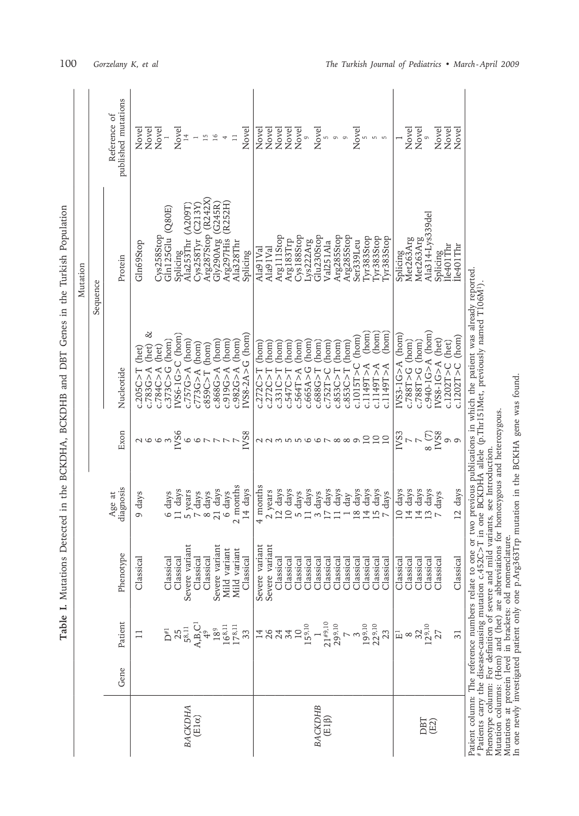| 1<br>ļ                                  |
|-----------------------------------------|
|                                         |
| $\mathbf{r}$                            |
| -<br>;<br>;                             |
| י טטגע                                  |
| ļ<br>ì<br>$\overline{\phantom{a}}$<br>Ì |
| J<br>J<br>J<br>J<br>J<br>ていへ            |
|                                         |
| i<br>1<br>)<br>)<br>Í<br>ì              |
| $\overline{a}$<br>ł                     |
| í                                       |
| ١<br>$\ddot{ }$<br>I                    |
|                                         |
| l                                       |
| 1<br>Î<br>I<br>l                        |

|                                                     |      |                                        |                                                                                      |                                           |                   |                                                                                                                                  | Mutation                          |                                      |
|-----------------------------------------------------|------|----------------------------------------|--------------------------------------------------------------------------------------|-------------------------------------------|-------------------|----------------------------------------------------------------------------------------------------------------------------------|-----------------------------------|--------------------------------------|
|                                                     |      |                                        |                                                                                      |                                           |                   |                                                                                                                                  | Sequence                          |                                      |
|                                                     | Gene | Patient                                | Phenotype                                                                            | diagnosis<br>Age at                       | Exon              | Nucleotide                                                                                                                       | Protein                           | published mutations<br>Reference of  |
|                                                     |      | $\Box$                                 | Classical                                                                            | 9 days                                    |                   | (het)<br>c.205C > T                                                                                                              | Gln69Stop                         |                                      |
|                                                     |      |                                        |                                                                                      |                                           |                   | ∛<br>(het)<br>c.783G>A                                                                                                           |                                   | Novel<br>Novel                       |
|                                                     |      |                                        |                                                                                      |                                           | 2663              | (het)<br>c.784C > A                                                                                                              | Cys258Stop                        | Novel                                |
|                                                     |      | $\mathcal{D}^{\#1}$                    | Classical                                                                            | days<br>$\circ$                           |                   | $c.373C > G$ (hom)                                                                                                               | Gin125Ghi (Q80E)                  | $\overline{\phantom{0}}$             |
|                                                     |      | 25                                     | Classical                                                                            | 11 days                                   | $\frac{86}{26}$   | $N$ S6-1G > C (hom)                                                                                                              | Splicing<br>Ala253Thr (A209T      | Novel                                |
| <b>BACKDHA</b>                                      |      | 58,11                                  | Severe variant                                                                       | 5 years                                   |                   | $c.757G > A$ (hom)                                                                                                               |                                   | $\Xi$                                |
| $(E1\alpha)$                                        |      | $\mathbf{A}, \mathbf{B}, \mathbf{C}^1$ | Classical                                                                            | 7 days                                    |                   | (hom)<br>c773G > A                                                                                                               | (C213Y)<br>Cys258Tyr              | $\overline{a}$                       |
|                                                     |      | $\hat{\ddot{z}}$                       | Classical                                                                            | 8 days                                    |                   | (hom)<br>c859C > T                                                                                                               | Arg287Stop (R242X                 | 15                                   |
|                                                     |      | 189                                    | Severe variant                                                                       | 21 days                                   |                   | $c.868G > A$ (hom)                                                                                                               | (G245R)<br>Gly290Arg<br>Arg297His | 16                                   |
|                                                     |      | $16^{8,11}$                            | Mild variant                                                                         | 6 days                                    |                   | (hom)<br>c.919G > A                                                                                                              | (R252H)                           | $\equiv$<br>$\overline{\phantom{a}}$ |
|                                                     |      | $17^{8,11}\,$<br>33                    | Mild variant                                                                         | 2 months                                  |                   | (hom)<br>c.982G > A                                                                                                              | Ala328Thr                         |                                      |
|                                                     |      |                                        | Classical                                                                            | 14 days                                   | N <sub>0</sub>    | $NSS-2A>G (hom)$                                                                                                                 | Splicing                          | Novel                                |
|                                                     |      | 14                                     | Severe variant                                                                       | 4 months                                  |                   | (hom)<br>c.272C > T                                                                                                              | Ala91Val                          | Novel<br>Novel                       |
|                                                     |      | 26                                     | Severe variant                                                                       | 2 years                                   | 22366400000       | hom)<br>c.272C > T                                                                                                               | Ala91Val                          |                                      |
|                                                     |      |                                        | Classical                                                                            | 12 days                                   |                   | (hom)<br>c.331C > T                                                                                                              | Arg111Stop                        |                                      |
|                                                     |      | $244$<br>$340$                         | Classical                                                                            | 10 days                                   |                   | (hom)<br>c.547C > T                                                                                                              | Arg183Trp                         |                                      |
|                                                     |      |                                        | Classical                                                                            | 5 days                                    |                   | (hom)<br>c.564T > A                                                                                                              | Cys188Stop                        | Novel<br>Novel<br>Novel<br>9         |
|                                                     |      | 159,10                                 | Classical                                                                            | 11 days                                   |                   | (hom)<br>c.665A > G                                                                                                              | Lys222Arg                         |                                      |
| BACKDHB<br>(E1β)                                    |      |                                        | Classical                                                                            | days<br>$\infty$                          |                   | (hom)<br>c.688G > T                                                                                                              | Glu230Stop                        | Novel                                |
|                                                     |      | $21^{*9,10}$<br>299,10                 | Classical                                                                            | days<br>$\overline{C}$                    |                   | (hom)<br>c.752T > C                                                                                                              | Val <sub>251</sub> Ala            |                                      |
|                                                     |      |                                        | Classical                                                                            | days<br>Ξ                                 |                   | (hom)<br>c.853C > T                                                                                                              | Arg285Stop                        | $\circ$                              |
|                                                     |      | $\sim$ $\infty$                        | Classical                                                                            | day                                       |                   | (hom)<br>c.853C > T                                                                                                              | Arg285Stop                        | $\circ$                              |
|                                                     |      |                                        | Classical                                                                            | .8 days                                   |                   | $c.1015T > C$ (hom)                                                                                                              | Ser339Leu                         | Novel                                |
|                                                     |      | $19^{9,10}$                            | Classical                                                                            | 14 days                                   | 222               | (hom)<br>c.1149T > A                                                                                                             | Tyr383Stop                        | n n n                                |
|                                                     |      | $\frac{229,10}{23}$                    | Classical                                                                            | days<br>$\overline{5}$                    |                   | (hom)<br>c.1149T > A                                                                                                             | vr383Stop                         |                                      |
|                                                     |      |                                        | Classical                                                                            | days                                      |                   | (hom)<br>c.1149T > A                                                                                                             | Lyr383Stop                        |                                      |
|                                                     |      | $\Xi$                                  | Classical                                                                            | 10 days                                   | $\frac{7}{7}$     | $IVS3-IG>A$ (hom)                                                                                                                | Splicing                          |                                      |
|                                                     |      | $\infty$                               | Classical                                                                            | 14 days                                   |                   | $c.788T > G$ (hom)                                                                                                               | Met263Arg                         |                                      |
|                                                     |      | 32                                     | Classical                                                                            | 14 days                                   |                   | $c.788T > G$ (hom)                                                                                                               | Met263Arg                         | Novel<br>Novel<br>9                  |
| DBT<br>(E2)                                         |      | $12^{9,10}$<br>$27$                    | Classical                                                                            | 13 days                                   | $8(7)$            | $c.940 - 1G > A$ (hom)                                                                                                           | Ala314-Lys339del                  |                                      |
|                                                     |      |                                        | Classical                                                                            | days                                      | IV <sub>S</sub> 8 | $N$ S8-1G>A (het)                                                                                                                | Splicing                          | Novel<br>Novel                       |
|                                                     |      |                                        |                                                                                      |                                           | $\sigma$          | (het)<br>c.1202T > C                                                                                                             | le401Thr                          |                                      |
|                                                     |      | $\overline{31}$                        | Classical                                                                            | 12 days                                   |                   | (hom)<br>c.1202T > C                                                                                                             | le401Thr                          | Novel                                |
|                                                     |      |                                        | Patient column: The reference numbers relate to one                                  |                                           |                   | or two previous publications in which the patient was already reported                                                           |                                   |                                      |
|                                                     |      |                                        | Phenotype column: For definition of severe and mild                                  | variants, see Introduction.               |                   | # Patients carry the disease-causing mutation c.452C>T in one BCKDHA allele (p.Thr151Met, previously named T106M <sup>1</sup> ). |                                   |                                      |
|                                                     |      |                                        | Mutation columns: (Hom) and (het) are abbreviations for homozygous and heterozygous. |                                           |                   |                                                                                                                                  |                                   |                                      |
| In one newly investigated patient only one p.Arg363 |      |                                        | Mutations at protein level in brackets: old nomenclature.                            | Trp mutation in the BCKHA gene was found. |                   |                                                                                                                                  |                                   |                                      |
|                                                     |      |                                        |                                                                                      |                                           |                   |                                                                                                                                  |                                   |                                      |

100 *Gorzelany K, et al The Turkish Journal of Pediatrics • March - April 2009*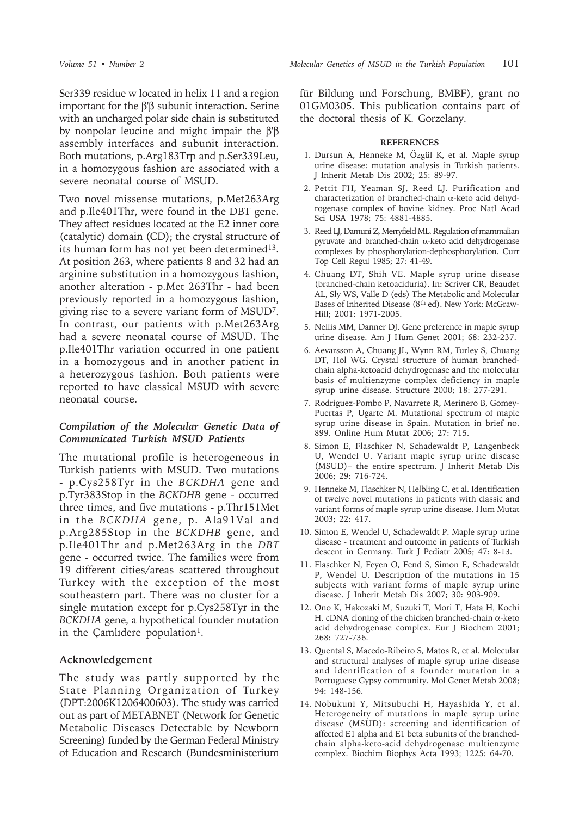Ser339 residue w located in helix 11 and a region important for the β'β subunit interaction. Serine with an uncharged polar side chain is substituted by nonpolar leucine and might impair the β'β assembly interfaces and subunit interaction. Both mutations, p.Arg183Trp and p.Ser339Leu, in a homozygous fashion are associated with a severe neonatal course of MSUD.

Two novel missense mutations, p.Met263Arg and p.Ile401Thr, were found in the DBT gene. They affect residues located at the E2 inner core (catalytic) domain (CD); the crystal structure of its human form has not yet been determined<sup>13</sup>. At position 263, where patients 8 and 32 had an arginine substitution in a homozygous fashion, another alteration - p.Met 263Thr - had been previously reported in a homozygous fashion, giving rise to a severe variant form of MSUD7. In contrast, our patients with p.Met263Arg had a severe neonatal course of MSUD. The p.Ile401Thr variation occurred in one patient in a homozygous and in another patient in a heterozygous fashion. Both patients were reported to have classical MSUD with severe neonatal course.

#### *Compilation of the Molecular Genetic Data of Communicated Turkish MSUD Patients*

The mutational profile is heterogeneous in Turkish patients with MSUD. Two mutations - p.Cys258Tyr in the *BCKDHA* gene and p.Tyr383Stop in the *BCKDHB* gene - occurred three times, and five mutations - p.Thr151Met in the *BCKDHA* gene, p. Ala91Val and p.Arg285Stop in the *BCKDHB* gene, and p.Ile401Thr and p.Met263Arg in the *DBT* gene - occurred twice. The families were from 19 different cities/areas scattered throughout Turkey with the exception of the most southeastern part. There was no cluster for a single mutation except for p.Cys258Tyr in the *BCKDHA* gene, a hypothetical founder mutation in the Çamlıdere population<sup>1</sup>.

#### **Acknowledgement**

The study was partly supported by the State Planning Organization of Turkey (DPT:2006K1206400603). The study was carried out as part of METABNET (Network for Genetic Metabolic Diseases Detectable by Newborn Screening) funded by the German Federal Ministry of Education and Research (Bundesministerium

für Bildung und Forschung, BMBF), grant no 01GM0305. This publication contains part of the doctoral thesis of K. Gorzelany.

#### **REFERENCES**

- 1. Dursun A, Henneke M, Özgül K, et al. Maple syrup urine disease: mutation analysis in Turkish patients. J Inherit Metab Dis 2002; 25: 89-97.
- 2. Pettit FH, Yeaman SJ, Reed LJ. Purification and characterization of branched-chain α-keto acid dehydrogenase complex of bovine kidney. Proc Natl Acad Sci USA 1978; 75: 4881-4885.
- 3. Reed LJ, Damuni Z, Merryfield ML. Regulation of mammalian pyruvate and branched-chain α-keto acid dehydrogenase complexes by phosphorylation-dephosphorylation. Curr Top Cell Regul 1985; 27: 41-49.
- 4. Chuang DT, Shih VE. Maple syrup urine disease (branched-chain ketoaciduria). In: Scriver CR, Beaudet AL, Sly WS, Valle D (eds) The Metabolic and Molecular Bases of Inherited Disease (8th ed). New York: McGraw-Hill; 2001: 1971-2005.
- 5. Nellis MM, Danner DJ. Gene preference in maple syrup urine disease. Am J Hum Genet 2001; 68: 232-237.
- 6. Aevarsson A, Chuang JL, Wynn RM, Turley S, Chuang DT, Hol WG. Crystal structure of human branchedchain alpha-ketoacid dehydrogenase and the molecular basis of multienzyme complex deficiency in maple syrup urine disease. Structure 2000; 18: 277-291.
- 7. Rodriguez-Pombo P, Navarrete R, Merinero B, Gomey-Puertas P, Ugarte M. Mutational spectrum of maple syrup urine disease in Spain. Mutation in brief no. 899. Online Hum Mutat 2006; 27: 715.
- 8. Simon E, Flaschker N, Schadewaldt P, Langenbeck U, Wendel U. Variant maple syrup urine disease (MSUD)– the entire spectrum. J Inherit Metab Dis 2006; 29: 716-724.
- 9. Henneke M, Flaschker N, Helbling C, et al. Identification of twelve novel mutations in patients with classic and variant forms of maple syrup urine disease. Hum Mutat 2003; 22: 417.
- 10. Simon E, Wendel U, Schadewaldt P. Maple syrup urine disease - treatment and outcome in patients of Turkish descent in Germany. Turk J Pediatr 2005; 47: 8-13.
- 11. Flaschker N, Feyen O, Fend S, Simon E, Schadewaldt P, Wendel U. Description of the mutations in 15 subjects with variant forms of maple syrup urine disease. J Inherit Metab Dis 2007; 30: 903-909.
- 12. Ono K, Hakozaki M, Suzuki T, Mori T, Hata H, Kochi H. cDNA cloning of the chicken branched-chain  $\alpha$ -keto acid dehydrogenase complex. Eur J Biochem 2001; 268: 727-736.
- 13. Quental S, Macedo-Ribeiro S, Matos R, et al. Molecular and structural analyses of maple syrup urine disease and identification of a founder mutation in a Portuguese Gypsy community. Mol Genet Metab 2008; 94: 148-156.
- 14. Nobukuni Y, Mitsubuchi H, Hayashida Y, et al. Heterogeneity of mutations in maple syrup urine disease (MSUD): screening and identification of affected E1 alpha and E1 beta subunits of the branchedchain alpha-keto-acid dehydrogenase multienzyme complex. Biochim Biophys Acta 1993; 1225: 64-70.